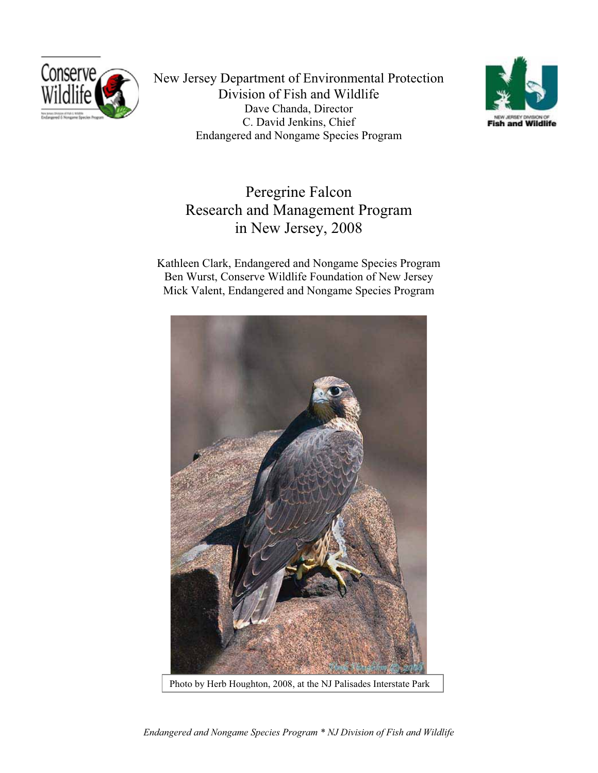

New Jersey Department of Environmental Protection Division of Fish and Wildlife Dave Chanda, Director C. David Jenkins, Chief Endangered and Nongame Species Program



## Peregrine Falcon Research and Management Program in New Jersey, 2008

Kathleen Clark, Endangered and Nongame Species Program Ben Wurst, Conserve Wildlife Foundation of New Jersey Mick Valent, Endangered and Nongame Species Program



*Endangered and Nongame Species Program \* NJ Division of Fish and Wildlife*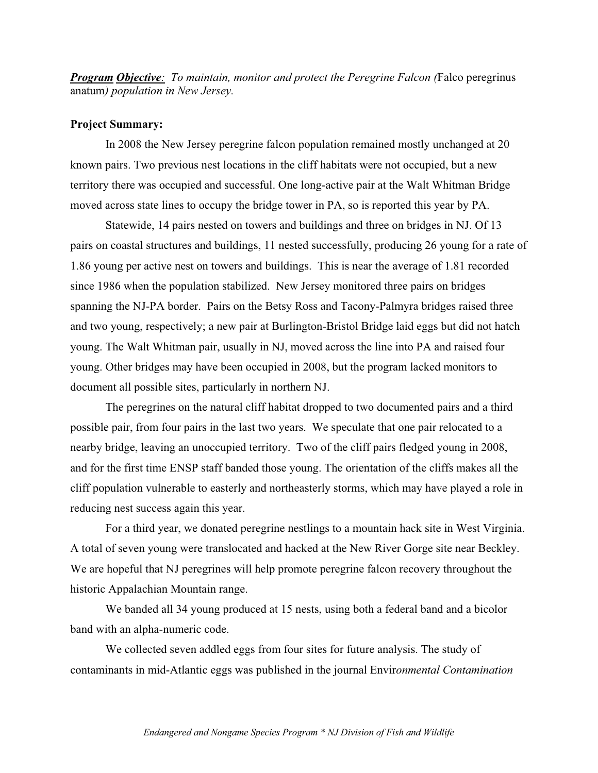*Program Objective: To maintain, monitor and protect the Peregrine Falcon (*Falco peregrinus anatum*) population in New Jersey.*

## **Project Summary:**

In 2008 the New Jersey peregrine falcon population remained mostly unchanged at 20 known pairs. Two previous nest locations in the cliff habitats were not occupied, but a new territory there was occupied and successful. One long-active pair at the Walt Whitman Bridge moved across state lines to occupy the bridge tower in PA, so is reported this year by PA.

Statewide, 14 pairs nested on towers and buildings and three on bridges in NJ. Of 13 pairs on coastal structures and buildings, 11 nested successfully, producing 26 young for a rate of 1.86 young per active nest on towers and buildings. This is near the average of 1.81 recorded since 1986 when the population stabilized. New Jersey monitored three pairs on bridges spanning the NJ-PA border. Pairs on the Betsy Ross and Tacony-Palmyra bridges raised three and two young, respectively; a new pair at Burlington-Bristol Bridge laid eggs but did not hatch young. The Walt Whitman pair, usually in NJ, moved across the line into PA and raised four young. Other bridges may have been occupied in 2008, but the program lacked monitors to document all possible sites, particularly in northern NJ.

The peregrines on the natural cliff habitat dropped to two documented pairs and a third possible pair, from four pairs in the last two years. We speculate that one pair relocated to a nearby bridge, leaving an unoccupied territory. Two of the cliff pairs fledged young in 2008, and for the first time ENSP staff banded those young. The orientation of the cliffs makes all the cliff population vulnerable to easterly and northeasterly storms, which may have played a role in reducing nest success again this year.

For a third year, we donated peregrine nestlings to a mountain hack site in West Virginia. A total of seven young were translocated and hacked at the New River Gorge site near Beckley. We are hopeful that NJ peregrines will help promote peregrine falcon recovery throughout the historic Appalachian Mountain range.

We banded all 34 young produced at 15 nests, using both a federal band and a bicolor band with an alpha-numeric code.

We collected seven addled eggs from four sites for future analysis. The study of contaminants in mid-Atlantic eggs was published in the journal Envir*onmental Contamination*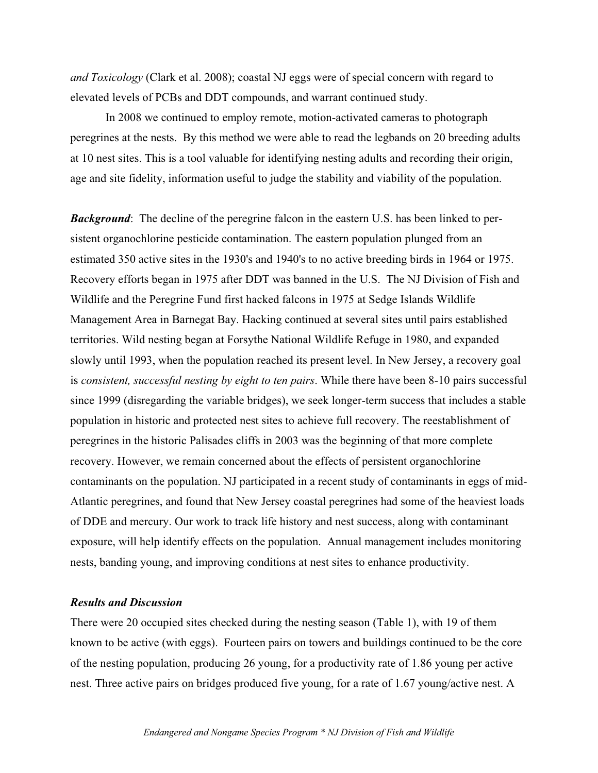*and Toxicology* (Clark et al. 2008); coastal NJ eggs were of special concern with regard to elevated levels of PCBs and DDT compounds, and warrant continued study.

In 2008 we continued to employ remote, motion-activated cameras to photograph peregrines at the nests. By this method we were able to read the legbands on 20 breeding adults at 10 nest sites. This is a tool valuable for identifying nesting adults and recording their origin, age and site fidelity, information useful to judge the stability and viability of the population.

*Background*: The decline of the peregrine falcon in the eastern U.S. has been linked to persistent organochlorine pesticide contamination. The eastern population plunged from an estimated 350 active sites in the 1930's and 1940's to no active breeding birds in 1964 or 1975. Recovery efforts began in 1975 after DDT was banned in the U.S. The NJ Division of Fish and Wildlife and the Peregrine Fund first hacked falcons in 1975 at Sedge Islands Wildlife Management Area in Barnegat Bay. Hacking continued at several sites until pairs established territories. Wild nesting began at Forsythe National Wildlife Refuge in 1980, and expanded slowly until 1993, when the population reached its present level. In New Jersey, a recovery goal is *consistent, successful nesting by eight to ten pairs*. While there have been 8-10 pairs successful since 1999 (disregarding the variable bridges), we seek longer-term success that includes a stable population in historic and protected nest sites to achieve full recovery. The reestablishment of peregrines in the historic Palisades cliffs in 2003 was the beginning of that more complete recovery. However, we remain concerned about the effects of persistent organochlorine contaminants on the population. NJ participated in a recent study of contaminants in eggs of mid-Atlantic peregrines, and found that New Jersey coastal peregrines had some of the heaviest loads of DDE and mercury. Our work to track life history and nest success, along with contaminant exposure, will help identify effects on the population. Annual management includes monitoring nests, banding young, and improving conditions at nest sites to enhance productivity.

## *Results and Discussion*

There were 20 occupied sites checked during the nesting season (Table 1), with 19 of them known to be active (with eggs). Fourteen pairs on towers and buildings continued to be the core of the nesting population, producing 26 young, for a productivity rate of 1.86 young per active nest. Three active pairs on bridges produced five young, for a rate of 1.67 young/active nest. A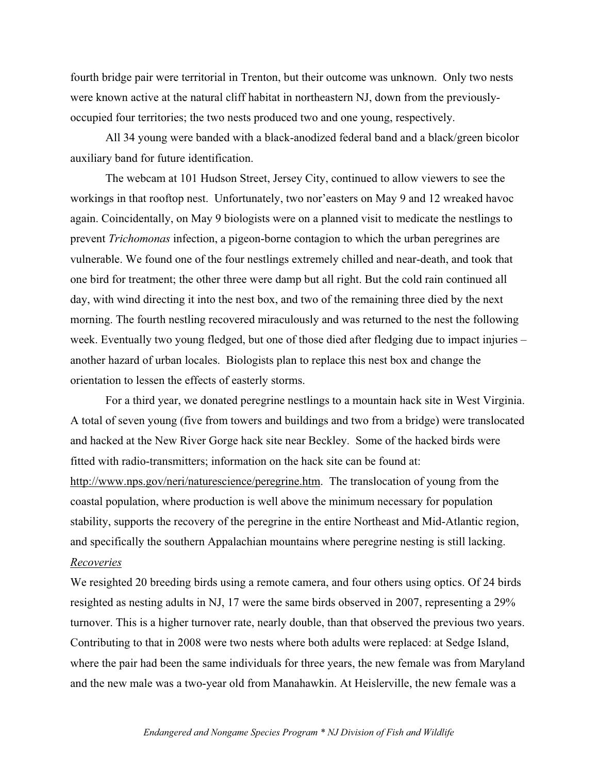fourth bridge pair were territorial in Trenton, but their outcome was unknown. Only two nests were known active at the natural cliff habitat in northeastern NJ, down from the previouslyoccupied four territories; the two nests produced two and one young, respectively.

All 34 young were banded with a black-anodized federal band and a black/green bicolor auxiliary band for future identification.

The webcam at 101 Hudson Street, Jersey City, continued to allow viewers to see the workings in that rooftop nest. Unfortunately, two nor'easters on May 9 and 12 wreaked havoc again. Coincidentally, on May 9 biologists were on a planned visit to medicate the nestlings to prevent *Trichomonas* infection, a pigeon-borne contagion to which the urban peregrines are vulnerable. We found one of the four nestlings extremely chilled and near-death, and took that one bird for treatment; the other three were damp but all right. But the cold rain continued all day, with wind directing it into the nest box, and two of the remaining three died by the next morning. The fourth nestling recovered miraculously and was returned to the nest the following week. Eventually two young fledged, but one of those died after fledging due to impact injuries – another hazard of urban locales. Biologists plan to replace this nest box and change the orientation to lessen the effects of easterly storms.

For a third year, we donated peregrine nestlings to a mountain hack site in West Virginia. A total of seven young (five from towers and buildings and two from a bridge) were translocated and hacked at the New River Gorge hack site near Beckley. Some of the hacked birds were fitted with radio-transmitters; information on the hack site can be found at: http://www.nps.gov/neri/naturescience/peregrine.htm. The translocation of young from the coastal population, where production is well above the minimum necessary for population stability, supports the recovery of the peregrine in the entire Northeast and Mid-Atlantic region, and specifically the southern Appalachian mountains where peregrine nesting is still lacking. *Recoveries*

We resighted 20 breeding birds using a remote camera, and four others using optics. Of 24 birds resighted as nesting adults in NJ, 17 were the same birds observed in 2007, representing a 29% turnover. This is a higher turnover rate, nearly double, than that observed the previous two years. Contributing to that in 2008 were two nests where both adults were replaced: at Sedge Island, where the pair had been the same individuals for three years, the new female was from Maryland and the new male was a two-year old from Manahawkin. At Heislerville, the new female was a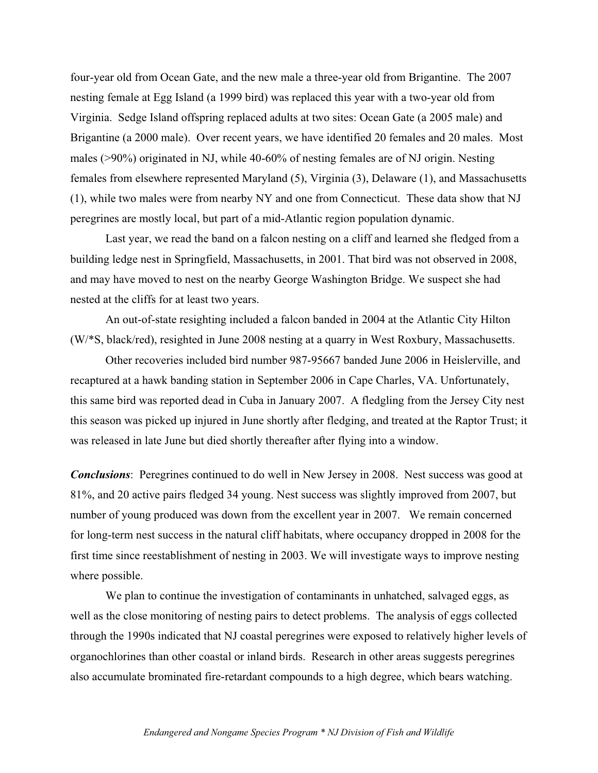four-year old from Ocean Gate, and the new male a three-year old from Brigantine. The 2007 nesting female at Egg Island (a 1999 bird) was replaced this year with a two-year old from Virginia. Sedge Island offspring replaced adults at two sites: Ocean Gate (a 2005 male) and Brigantine (a 2000 male). Over recent years, we have identified 20 females and 20 males. Most males (>90%) originated in NJ, while 40-60% of nesting females are of NJ origin. Nesting females from elsewhere represented Maryland (5), Virginia (3), Delaware (1), and Massachusetts (1), while two males were from nearby NY and one from Connecticut. These data show that NJ peregrines are mostly local, but part of a mid-Atlantic region population dynamic.

Last year, we read the band on a falcon nesting on a cliff and learned she fledged from a building ledge nest in Springfield, Massachusetts, in 2001. That bird was not observed in 2008, and may have moved to nest on the nearby George Washington Bridge. We suspect she had nested at the cliffs for at least two years.

An out-of-state resighting included a falcon banded in 2004 at the Atlantic City Hilton (W/\*S, black/red), resighted in June 2008 nesting at a quarry in West Roxbury, Massachusetts.

Other recoveries included bird number 987-95667 banded June 2006 in Heislerville, and recaptured at a hawk banding station in September 2006 in Cape Charles, VA. Unfortunately, this same bird was reported dead in Cuba in January 2007. A fledgling from the Jersey City nest this season was picked up injured in June shortly after fledging, and treated at the Raptor Trust; it was released in late June but died shortly thereafter after flying into a window.

*Conclusions*: Peregrines continued to do well in New Jersey in 2008. Nest success was good at 81%, and 20 active pairs fledged 34 young. Nest success was slightly improved from 2007, but number of young produced was down from the excellent year in 2007. We remain concerned for long-term nest success in the natural cliff habitats, where occupancy dropped in 2008 for the first time since reestablishment of nesting in 2003. We will investigate ways to improve nesting where possible.

We plan to continue the investigation of contaminants in unhatched, salvaged eggs, as well as the close monitoring of nesting pairs to detect problems. The analysis of eggs collected through the 1990s indicated that NJ coastal peregrines were exposed to relatively higher levels of organochlorines than other coastal or inland birds. Research in other areas suggests peregrines also accumulate brominated fire-retardant compounds to a high degree, which bears watching.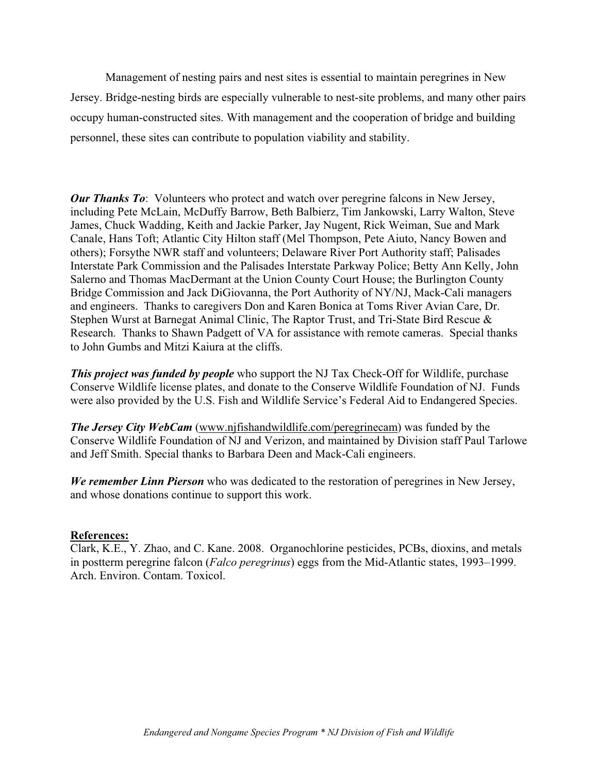Management of nesting pairs and nest sites is essential to maintain peregrines in New Jersey. Bridge-nesting birds are especially vulnerable to nest-site problems, and many other pairs occupy human-constructed sites. With management and the cooperation of bridge and building personnel, these sites can contribute to population viability and stability.

*Our Thanks To*: Volunteers who protect and watch over peregrine falcons in New Jersey, including Pete McLain, McDuffy Barrow, Beth Balbierz, Tim Jankowski, Larry Walton, Steve James, Chuck Wadding, Keith and Jackie Parker, Jay Nugent, Rick Weiman, Sue and Mark Canale, Hans Toft; Atlantic City Hilton staff (Mel Thompson, Pete Aiuto, Nancy Bowen and others); Forsythe NWR staff and volunteers; Delaware River Port Authority staff; Palisades Interstate Park Commission and the Palisades Interstate Parkway Police; Betty Ann Kelly, John Salerno and Thomas MacDermant at the Union County Court House; the Burlington County Bridge Commission and Jack DiGiovanna, the Port Authority of NY/NJ, Mack-Cali managers and engineers. Thanks to caregivers Don and Karen Bonica at Toms River Avian Care, Dr. Stephen Wurst at Barnegat Animal Clinic, The Raptor Trust, and Tri-State Bird Rescue & Research. Thanks to Shawn Padgett of VA for assistance with remote cameras. Special thanks to John Gumbs and Mitzi Kaiura at the cliffs.

*This project was funded by people* who support the NJ Tax Check-Off for Wildlife, purchase Conserve Wildlife license plates, and donate to the Conserve Wildlife Foundation of NJ. Funds were also provided by the U.S. Fish and Wildlife Service's Federal Aid to Endangered Species.

*The Jersey City WebCam* (www.njfishandwildlife.com/peregrinecam) was funded by the Conserve Wildlife Foundation of NJ and Verizon, and maintained by Division staff Paul Tarlowe and Jeff Smith. Special thanks to Barbara Deen and Mack-Cali engineers.

*We remember Linn Pierson* who was dedicated to the restoration of peregrines in New Jersey, and whose donations continue to support this work.

**References:** Clark, K.E., Y. Zhao, and C. Kane. 2008. Organochlorine pesticides, PCBs, dioxins, and metals in postterm peregrine falcon (*Falco peregrinus*) eggs from the Mid-Atlantic states, 1993–1999. Arch. Environ. Contam. Toxicol.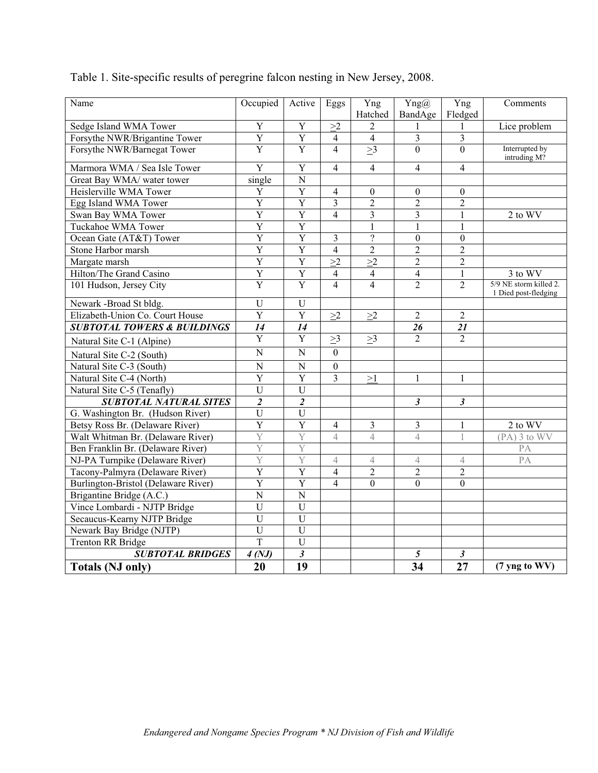| Name                                   | Occupied       | Active                | Eggs             | Yng                      | Yng@                     | Yng            | Comments                                       |
|----------------------------------------|----------------|-----------------------|------------------|--------------------------|--------------------------|----------------|------------------------------------------------|
|                                        |                |                       |                  | Hatched                  | BandAge                  | Fledged        |                                                |
| Sedge Island WMA Tower                 | $\overline{Y}$ | $\overline{Y}$        | >2               | $\overline{2}$           | $\mathbf{1}$             | 1              | Lice problem                                   |
| Forsythe NWR/Brigantine Tower          | $\overline{Y}$ | $\overline{Y}$        | $\overline{4}$   | $\overline{4}$           | 3                        | $\overline{3}$ |                                                |
| Forsythe NWR/Barnegat Tower            | $\overline{Y}$ | $\overline{Y}$        | $\overline{4}$   | >3                       | $\mathbf{0}$             | $\Omega$       | Interrupted by<br>intruding M?                 |
| Marmora WMA / Sea Isle Tower           | $\overline{Y}$ | $\overline{Y}$        | $\overline{4}$   | $\overline{\mathcal{A}}$ | $\overline{\mathcal{L}}$ | $\overline{4}$ |                                                |
| Great Bay WMA/ water tower             | single         | $\overline{N}$        |                  |                          |                          |                |                                                |
| Heislerville WMA Tower                 | Y              | $\overline{Y}$        | $\overline{4}$   | $\boldsymbol{0}$         | $\boldsymbol{0}$         | $\theta$       |                                                |
| Egg Island WMA Tower                   | $\overline{Y}$ | $\overline{Y}$        | $\overline{3}$   | $\overline{2}$           | $\overline{2}$           | $\overline{2}$ |                                                |
| Swan Bay WMA Tower                     | $\overline{Y}$ | $\overline{Y}$        | $\overline{4}$   | 3                        | 3                        | $\mathbf{1}$   | 2 to WV                                        |
| <b>Tuckahoe WMA Tower</b>              | $\overline{Y}$ | $\overline{Y}$        |                  | $\mathbf{1}$             | $\,1$                    | $\mathbf{1}$   |                                                |
| Ocean Gate (AT&T) Tower                | $\overline{Y}$ | $\overline{Y}$        | $\overline{3}$   | $\overline{?}$           | $\boldsymbol{0}$         | $\overline{0}$ |                                                |
| Stone Harbor marsh                     | $\overline{Y}$ | $\overline{Y}$        | $\overline{4}$   | $\overline{2}$           | $\overline{2}$           | $\overline{2}$ |                                                |
| Margate marsh                          | $\overline{Y}$ | $\overline{Y}$        | >2               | >2                       | $\overline{c}$           | $\overline{2}$ |                                                |
| Hilton/The Grand Casino                | $\overline{Y}$ | $\overline{Y}$        | $\overline{4}$   | $\overline{4}$           | 4                        | $\mathbf{1}$   | $3$ to $W\overline{V}$                         |
| 101 Hudson, Jersey City                | $\overline{Y}$ | $\overline{Y}$        | $\overline{4}$   | 4                        | $\overline{2}$           | $\overline{2}$ | 5/9 NE storm killed 2.<br>1 Died post-fledging |
| Newark -Broad St bldg.                 | $\mathbf U$    | $\mathbf U$           |                  |                          |                          |                |                                                |
| Elizabeth-Union Co. Court House        | $\overline{Y}$ | $\overline{Y}$        | >2               | $\geq$ 2                 | $\overline{2}$           | $\overline{2}$ |                                                |
| <b>SUBTOTAL TOWERS &amp; BUILDINGS</b> | 14             | 14                    |                  |                          | 26                       | 21             |                                                |
| Natural Site C-1 (Alpine)              | $\overline{Y}$ | Y                     | $\geq$ 3         | $\geq$ 3                 | $\overline{2}$           | $\overline{2}$ |                                                |
| Natural Site C-2 (South)               | $\overline{N}$ | $\overline{N}$        | $\overline{0}$   |                          |                          |                |                                                |
| Natural Site C-3 (South)               | $\mathbf N$    | ${\bf N}$             | $\boldsymbol{0}$ |                          |                          |                |                                                |
| Natural Site C-4 (North)               | $\overline{Y}$ | Y                     | $\overline{3}$   | >1                       | $\mathbf{1}$             | $\mathbf{1}$   |                                                |
| Natural Site C-5 (Tenafly)             | $\overline{U}$ | U                     |                  |                          |                          |                |                                                |
| <b>SUBTOTAL NATURAL SITES</b>          | $\overline{2}$ | $\overline{c}$        |                  |                          | $\mathfrak{z}$           | $\mathfrak{z}$ |                                                |
| G. Washington Br. (Hudson River)       | $\overline{U}$ | $\overline{U}$        |                  |                          |                          |                |                                                |
| Betsy Ross Br. (Delaware River)        | Y              | Y                     | $\overline{4}$   | 3                        | 3                        | $\mathbf{1}$   | 2 to WV                                        |
| Walt Whitman Br. (Delaware River)      | $\overline{Y}$ | Y                     | $\overline{4}$   | $\overline{4}$           | $\overline{4}$           | 1              | $(PA)$ 3 to $WV$                               |
| Ben Franklin Br. (Delaware River)      | $\overline{Y}$ | Y                     |                  |                          |                          |                | PA                                             |
| NJ-PA Turnpike (Delaware River)        | Y              | Y                     | $\overline{4}$   | 4                        | $\overline{4}$           | $\overline{4}$ | PA                                             |
| Tacony-Palmyra (Delaware River)        | $\overline{Y}$ | $\overline{\text{Y}}$ | $\overline{4}$   | $\overline{2}$           | $\overline{2}$           | $\overline{2}$ |                                                |
| Burlington-Bristol (Delaware River)    | $\overline{Y}$ | $\overline{Y}$        | $\overline{4}$   | $\mathbf{0}$             | $\boldsymbol{0}$         | $\overline{0}$ |                                                |
| Brigantine Bridge (A.C.)               | $\mathbf N$    | $\mathbf N$           |                  |                          |                          |                |                                                |
| Vince Lombardi - NJTP Bridge           | $\overline{U}$ | U                     |                  |                          |                          |                |                                                |
| Secaucus-Kearny NJTP Bridge            | $\overline{U}$ | $\overline{U}$        |                  |                          |                          |                |                                                |
| Newark Bay Bridge (NJTP)               | $\overline{U}$ | $\overline{U}$        |                  |                          |                          |                |                                                |
| <b>Trenton RR Bridge</b>               | $\overline{T}$ | U                     |                  |                          |                          |                |                                                |
| <b>SUBTOTAL BRIDGES</b>                | 4(NJ)          | $\mathfrak{z}$        |                  |                          | 5                        | $\mathfrak{z}$ |                                                |
| <b>Totals (NJ only)</b>                | 20             | 19                    |                  |                          | 34                       | 27             | (7 yng to WV)                                  |

Table 1. Site-specific results of peregrine falcon nesting in New Jersey, 2008.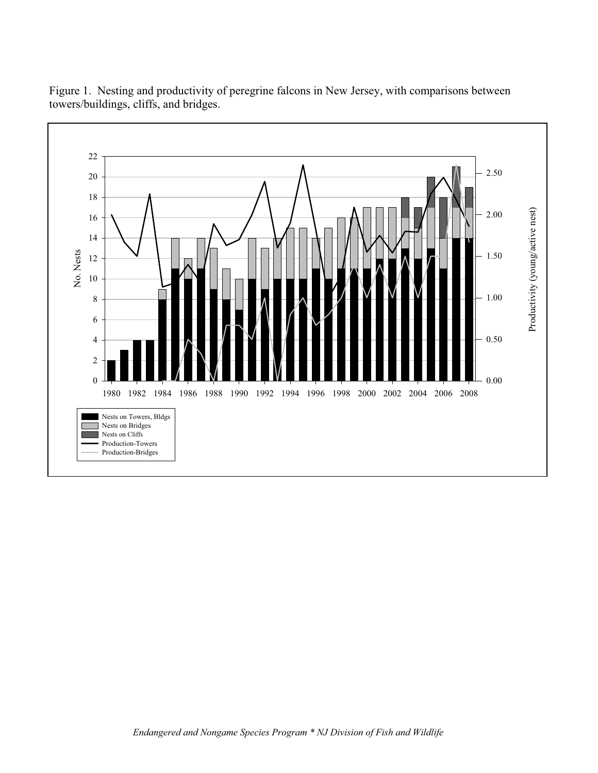

Figure 1. Nesting and productivity of peregrine falcons in New Jersey, with comparisons between towers/buildings, cliffs, and bridges.